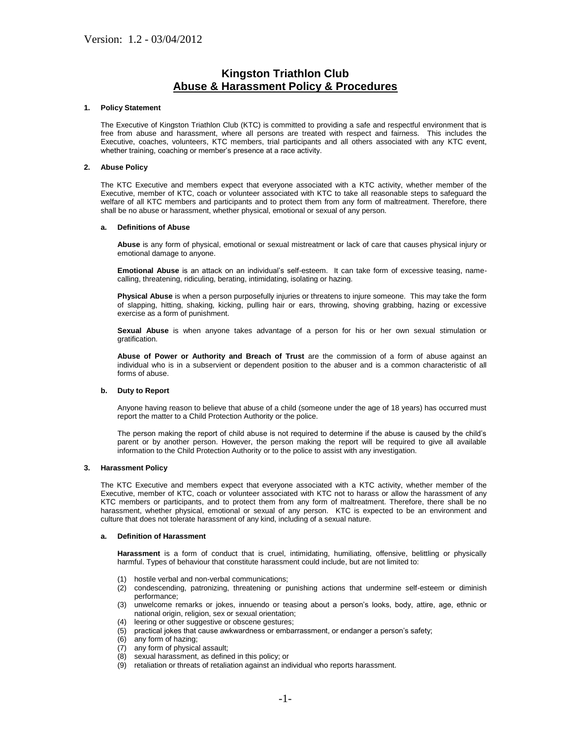# **Kingston Triathlon Club Abuse & Harassment Policy & Procedures**

## **1. Policy Statement**

The Executive of Kingston Triathlon Club (KTC) is committed to providing a safe and respectful environment that is free from abuse and harassment, where all persons are treated with respect and fairness. This includes the Executive, coaches, volunteers, KTC members, trial participants and all others associated with any KTC event, whether training, coaching or member's presence at a race activity.

# **2. Abuse Policy**

The KTC Executive and members expect that everyone associated with a KTC activity, whether member of the Executive, member of KTC, coach or volunteer associated with KTC to take all reasonable steps to safeguard the welfare of all KTC members and participants and to protect them from any form of maltreatment. Therefore, there shall be no abuse or harassment, whether physical, emotional or sexual of any person.

## **a. Definitions of Abuse**

**Abuse** is any form of physical, emotional or sexual mistreatment or lack of care that causes physical injury or emotional damage to anyone.

**Emotional Abuse** is an attack on an individual's self-esteem. It can take form of excessive teasing, namecalling, threatening, ridiculing, berating, intimidating, isolating or hazing.

**Physical Abuse** is when a person purposefully injuries or threatens to injure someone. This may take the form of slapping, hitting, shaking, kicking, pulling hair or ears, throwing, shoving grabbing, hazing or excessive exercise as a form of punishment.

**Sexual Abuse** is when anyone takes advantage of a person for his or her own sexual stimulation or gratification.

**Abuse of Power or Authority and Breach of Trust** are the commission of a form of abuse against an individual who is in a subservient or dependent position to the abuser and is a common characteristic of all forms of abuse.

## **b. Duty to Report**

Anyone having reason to believe that abuse of a child (someone under the age of 18 years) has occurred must report the matter to a Child Protection Authority or the police.

The person making the report of child abuse is not required to determine if the abuse is caused by the child's parent or by another person. However, the person making the report will be required to give all available information to the Child Protection Authority or to the police to assist with any investigation.

## **3. Harassment Policy**

The KTC Executive and members expect that everyone associated with a KTC activity, whether member of the Executive, member of KTC, coach or volunteer associated with KTC not to harass or allow the harassment of any KTC members or participants, and to protect them from any form of maltreatment. Therefore, there shall be no harassment, whether physical, emotional or sexual of any person. KTC is expected to be an environment and culture that does not tolerate harassment of any kind, including of a sexual nature.

## **a. Definition of Harassment**

**Harassment** is a form of conduct that is cruel, intimidating, humiliating, offensive, belittling or physically harmful. Types of behaviour that constitute harassment could include, but are not limited to:

- (1) hostile verbal and non-verbal communications;
- (2) condescending, patronizing, threatening or punishing actions that undermine self-esteem or diminish performance;
- (3) unwelcome remarks or jokes, innuendo or teasing about a person's looks, body, attire, age, ethnic or national origin, religion, sex or sexual orientation;
- (4) leering or other suggestive or obscene gestures;
- (5) practical jokes that cause awkwardness or embarrassment, or endanger a person's safety;
- any form of hazing;
- (7) any form of physical assault;
- (8) sexual harassment, as defined in this policy; or
- (9) retaliation or threats of retaliation against an individual who reports harassment.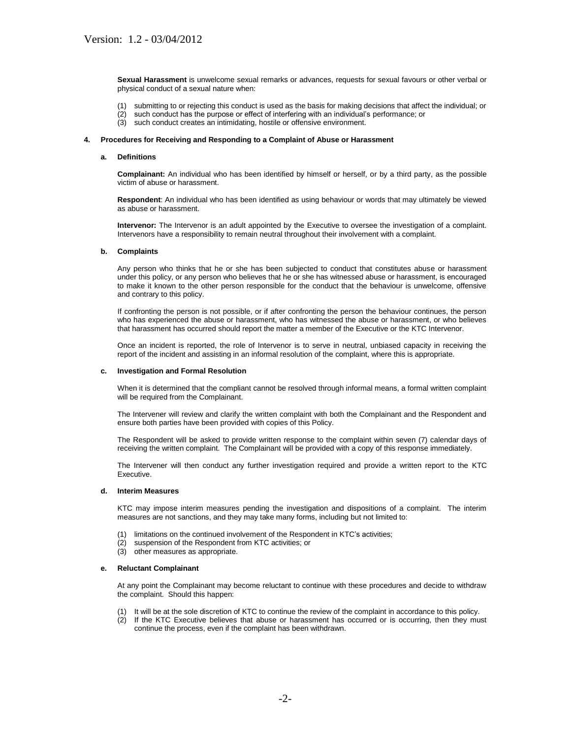**Sexual Harassment** is unwelcome sexual remarks or advances, requests for sexual favours or other verbal or physical conduct of a sexual nature when:

- (1) submitting to or rejecting this conduct is used as the basis for making decisions that affect the individual; or
- $(2)$  such conduct has the purpose or effect of interfering with an individual's performance; or  $(3)$  such conduct creates an intimidating, hostile or offensive environment.
- such conduct creates an intimidating, hostile or offensive environment.

#### **4. Procedures for Receiving and Responding to a Complaint of Abuse or Harassment**

## **a. Definitions**

**Complainant:** An individual who has been identified by himself or herself, or by a third party, as the possible victim of abuse or harassment.

**Respondent**: An individual who has been identified as using behaviour or words that may ultimately be viewed as abuse or harassment.

**Intervenor:** The Intervenor is an adult appointed by the Executive to oversee the investigation of a complaint. Intervenors have a responsibility to remain neutral throughout their involvement with a complaint.

#### **b. Complaints**

Any person who thinks that he or she has been subjected to conduct that constitutes abuse or harassment under this policy, or any person who believes that he or she has witnessed abuse or harassment, is encouraged to make it known to the other person responsible for the conduct that the behaviour is unwelcome, offensive and contrary to this policy.

If confronting the person is not possible, or if after confronting the person the behaviour continues, the person who has experienced the abuse or harassment, who has witnessed the abuse or harassment, or who believes that harassment has occurred should report the matter a member of the Executive or the KTC Intervenor.

Once an incident is reported, the role of Intervenor is to serve in neutral, unbiased capacity in receiving the report of the incident and assisting in an informal resolution of the complaint, where this is appropriate.

#### **c. Investigation and Formal Resolution**

When it is determined that the compliant cannot be resolved through informal means, a formal written complaint will be required from the Complainant.

The Intervener will review and clarify the written complaint with both the Complainant and the Respondent and ensure both parties have been provided with copies of this Policy.

The Respondent will be asked to provide written response to the complaint within seven (7) calendar days of receiving the written complaint. The Complainant will be provided with a copy of this response immediately.

The Intervener will then conduct any further investigation required and provide a written report to the KTC Executive.

#### **d. Interim Measures**

KTC may impose interim measures pending the investigation and dispositions of a complaint. The interim measures are not sanctions, and they may take many forms, including but not limited to:

- (1) limitations on the continued involvement of the Respondent in KTC's activities;
- (2) suspension of the Respondent from KTC activities; or
- (3) other measures as appropriate.

#### **e. Reluctant Complainant**

At any point the Complainant may become reluctant to continue with these procedures and decide to withdraw the complaint. Should this happen:

- (1) It will be at the sole discretion of KTC to continue the review of the complaint in accordance to this policy.
- (2) If the KTC Executive believes that abuse or harassment has occurred or is occurring, then they must continue the process, even if the complaint has been withdrawn.